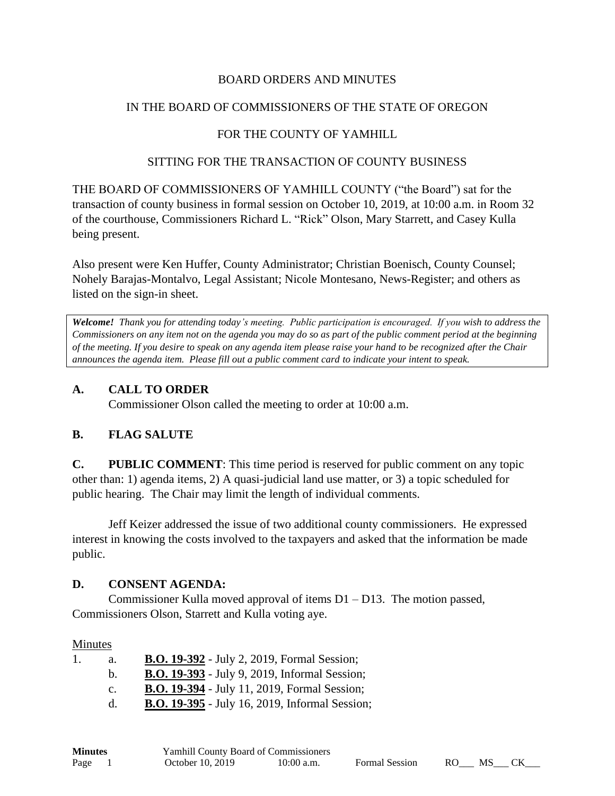## BOARD ORDERS AND MINUTES

## IN THE BOARD OF COMMISSIONERS OF THE STATE OF OREGON

# FOR THE COUNTY OF YAMHILL

#### SITTING FOR THE TRANSACTION OF COUNTY BUSINESS

THE BOARD OF COMMISSIONERS OF YAMHILL COUNTY ("the Board") sat for the transaction of county business in formal session on October 10, 2019, at 10:00 a.m. in Room 32 of the courthouse, Commissioners Richard L. "Rick" Olson, Mary Starrett, and Casey Kulla being present.

Also present were Ken Huffer, County Administrator; Christian Boenisch, County Counsel; Nohely Barajas-Montalvo, Legal Assistant; Nicole Montesano, News-Register; and others as listed on the sign-in sheet.

*Welcome! Thank you for attending today's meeting. Public participation is encouraged. If you wish to address the Commissioners on any item not on the agenda you may do so as part of the public comment period at the beginning of the meeting. If you desire to speak on any agenda item please raise your hand to be recognized after the Chair announces the agenda item. Please fill out a public comment card to indicate your intent to speak.*

## **A. CALL TO ORDER**

Commissioner Olson called the meeting to order at 10:00 a.m.

### **B. FLAG SALUTE**

**C. PUBLIC COMMENT**: This time period is reserved for public comment on any topic other than: 1) agenda items, 2) A quasi-judicial land use matter, or 3) a topic scheduled for public hearing. The Chair may limit the length of individual comments.

Jeff Keizer addressed the issue of two additional county commissioners. He expressed interest in knowing the costs involved to the taxpayers and asked that the information be made public.

### **D. CONSENT AGENDA:**

Commissioner Kulla moved approval of items  $D1 - D13$ . The motion passed, Commissioners Olson, Starrett and Kulla voting aye.

### Minutes

| a.          | <b>B.O. 19-392</b> - July 2, 2019, Formal Session;    |
|-------------|-------------------------------------------------------|
| h.          | <b>B.O. 19-393</b> - July 9, 2019, Informal Session;  |
| $c_{\cdot}$ | <b>B.O. 19-394</b> - July 11, 2019, Formal Session;   |
|             | <b>B.O. 19-395</b> - July 16, 2019, Informal Session; |

| <b>Minutes</b> | <b>Yamhill County Board of Commissioners</b> |            |                       |     |     |  |  |
|----------------|----------------------------------------------|------------|-----------------------|-----|-----|--|--|
| Page           | October 10, 2019                             | 10:00 a.m. | <b>Formal Session</b> | RO. | MS. |  |  |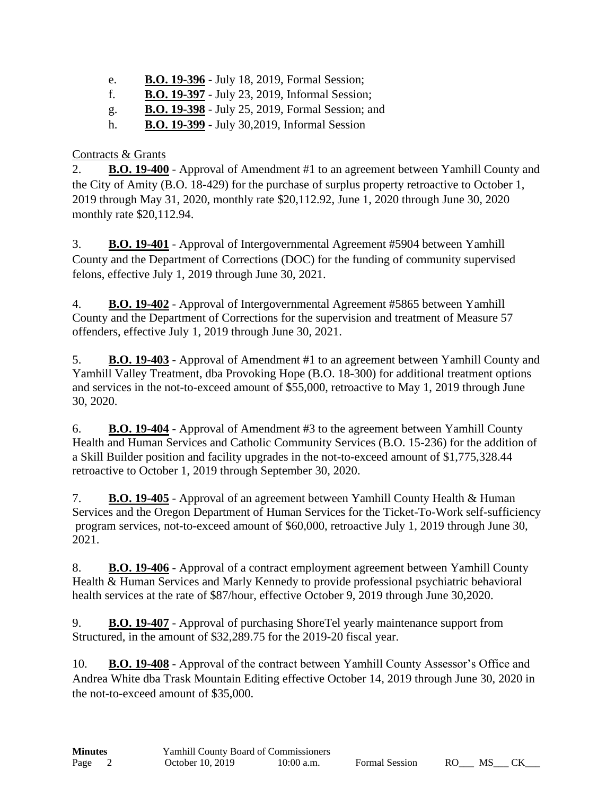- e. **B.O. 19-396** July 18, 2019, Formal Session;
- f. **B.O. 19-397** July 23, 2019, Informal Session;
- g. **B.O. 19-398** July 25, 2019, Formal Session; and
- h. **B.O. 19-399** July 30,2019, Informal Session

# Contracts & Grants

2. **B.O. 19-400** - Approval of Amendment #1 to an agreement between Yamhill County and the City of Amity (B.O. 18-429) for the purchase of surplus property retroactive to October 1, 2019 through May 31, 2020, monthly rate \$20,112.92, June 1, 2020 through June 30, 2020 monthly rate \$20,112.94.

3. **B.O. 19-401** - Approval of Intergovernmental Agreement #5904 between Yamhill County and the Department of Corrections (DOC) for the funding of community supervised felons, effective July 1, 2019 through June 30, 2021.

4. **B.O. 19-402** - Approval of Intergovernmental Agreement #5865 between Yamhill County and the Department of Corrections for the supervision and treatment of Measure 57 offenders, effective July 1, 2019 through June 30, 2021.

5. **B.O. 19-403** - Approval of Amendment #1 to an agreement between Yamhill County and Yamhill Valley Treatment, dba Provoking Hope (B.O. 18-300) for additional treatment options and services in the not-to-exceed amount of \$55,000, retroactive to May 1, 2019 through June 30, 2020.

6. **B.O. 19-404** - Approval of Amendment #3 to the agreement between Yamhill County Health and Human Services and Catholic Community Services (B.O. 15-236) for the addition of a Skill Builder position and facility upgrades in the not-to-exceed amount of \$1,775,328.44 retroactive to October 1, 2019 through September 30, 2020.

7. **B.O. 19-405** - Approval of an agreement between Yamhill County Health & Human Services and the Oregon Department of Human Services for the Ticket-To-Work self-sufficiency program services, not-to-exceed amount of \$60,000, retroactive July 1, 2019 through June 30, 2021.

8. **B.O. 19-406** - Approval of a contract employment agreement between Yamhill County Health & Human Services and Marly Kennedy to provide professional psychiatric behavioral health services at the rate of \$87/hour, effective October 9, 2019 through June 30,2020.

9. **B.O. 19-407** - Approval of purchasing ShoreTel yearly maintenance support from Structured, in the amount of \$32,289.75 for the 2019-20 fiscal year.

10. **B.O. 19-408** - Approval of the contract between Yamhill County Assessor's Office and Andrea White dba Trask Mountain Editing effective October 14, 2019 through June 30, 2020 in the not-to-exceed amount of \$35,000.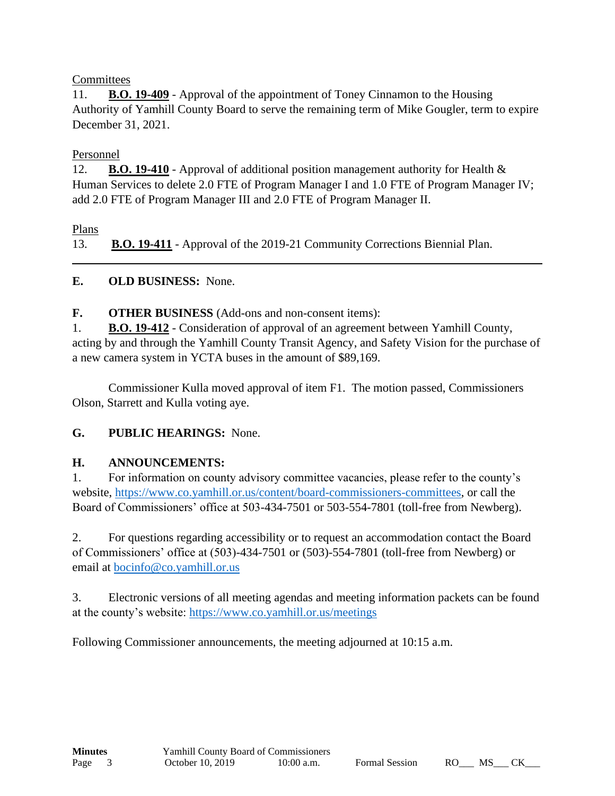## **Committees**

11. **B.O. 19-409** - Approval of the appointment of Toney Cinnamon to the Housing Authority of Yamhill County Board to serve the remaining term of Mike Gougler, term to expire December 31, 2021.

## Personnel

12. **B.O. 19-410** - Approval of additional position management authority for Health & Human Services to delete 2.0 FTE of Program Manager I and 1.0 FTE of Program Manager IV; add 2.0 FTE of Program Manager III and 2.0 FTE of Program Manager II.

Plans

13. **B.O. 19-411** - Approval of the 2019-21 Community Corrections Biennial Plan.

# **E. OLD BUSINESS:** None.

**F. OTHER BUSINESS** (Add-ons and non-consent items):

1. **B.O. 19-412** - Consideration of approval of an agreement between Yamhill County, acting by and through the Yamhill County Transit Agency, and Safety Vision for the purchase of a new camera system in YCTA buses in the amount of \$89,169.

Commissioner Kulla moved approval of item F1. The motion passed, Commissioners Olson, Starrett and Kulla voting aye.

# **G. PUBLIC HEARINGS:** None.

# **H. ANNOUNCEMENTS:**

1. For information on county advisory committee vacancies, please refer to the county's website, [https://www.co.yamhill.or.us/content/board-commissioners-committees,](https://www.co.yamhill.or.us/content/board-commissioners-committees) or call the Board of Commissioners' office at 503-434-7501 or 503-554-7801 (toll-free from Newberg).

2. For questions regarding accessibility or to request an accommodation contact the Board of Commissioners' office at (503)-434-7501 or (503)-554-7801 (toll-free from Newberg) or email at [bocinfo@co.yamhill.or.us](mailto:bocinfo@co.yamhill.or.us)

3. Electronic versions of all meeting agendas and meeting information packets can be found at the county's website:<https://www.co.yamhill.or.us/meetings>

Following Commissioner announcements, the meeting adjourned at 10:15 a.m.